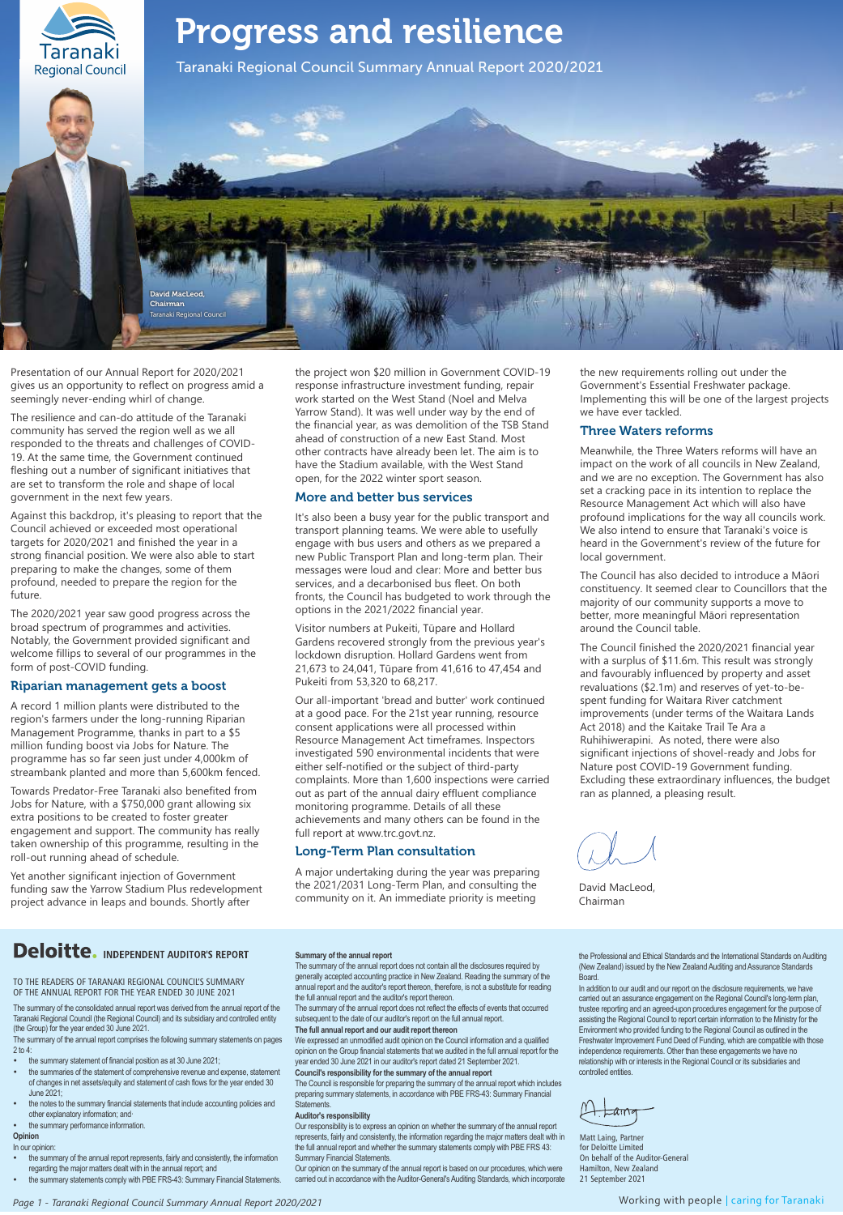

Presentation of our Annual Report for 2020/2021 gives us an opportunity to reflect on progress amid a seemingly never-ending whirl of change.

The resilience and can-do attitude of the Taranaki community has served the region well as we all responded to the threats and challenges of COVID-19. At the same time, the Government continued fleshing out a number of significant initiatives that are set to transform the role and shape of local government in the next few years.

Against this backdrop, it's pleasing to report that the Council achieved or exceeded most operational targets for 2020/2021 and finished the year in a strong financial position. We were also able to start preparing to make the changes, some of them profound, needed to prepare the region for the future.

The 2020/2021 year saw good progress across the broad spectrum of programmes and activities. Notably, the Government provided significant and welcome fillips to several of our programmes in the form of post-COVID funding.

### Riparian management gets a boost

A record 1 million plants were distributed to the region's farmers under the long-running Riparian Management Programme, thanks in part to a \$5 million funding boost via Jobs for Nature. The programme has so far seen just under 4,000km of streambank planted and more than 5,600km fenced.

Towards Predator-Free Taranaki also benefited from Jobs for Nature, with a \$750,000 grant allowing six extra positions to be created to foster greater engagement and support. The community has really taken ownership of this programme, resulting in the roll-out running ahead of schedule.

Yet another significant injection of Government funding saw the Yarrow Stadium Plus redevelopment project advance in leaps and bounds. Shortly after

the project won \$20 million in Government COVID-19 response infrastructure investment funding, repair work started on the West Stand (Noel and Melva Yarrow Stand). It was well under way by the end of the financial year, as was demolition of the TSB Stand ahead of construction of a new East Stand. Most other contracts have already been let. The aim is to have the Stadium available, with the West Stand open, for the 2022 winter sport season.

### More and better bus services

It's also been a busy year for the public transport and transport planning teams. We were able to usefully engage with bus users and others as we prepared a new Public Transport Plan and long-term plan. Their messages were loud and clear: More and better bus services, and a decarbonised bus fleet. On both fronts, the Council has budgeted to work through the options in the 2021/2022 financial year.

Visitor numbers at Pukeiti, Tūpare and Hollard Gardens recovered strongly from the previous year's lockdown disruption. Hollard Gardens went from 21,673 to 24,041, Tūpare from 41,616 to 47,454 and Pukeiti from 53,320 to 68,217.

Our all-important 'bread and butter' work continued at a good pace. For the 21st year running, resource consent applications were all processed within Resource Management Act timeframes. Inspectors investigated 590 environmental incidents that were either self-notified or the subject of third-party complaints. More than 1,600 inspections were carried out as part of the annual dairy effluent compliance monitoring programme. Details of all these achievements and many others can be found in the full report at www.trc.govt.nz.

### Long-Term Plan consultation

A major undertaking during the year was preparing the 2021/2031 Long-Term Plan, and consulting the community on it. An immediate priority is meeting

the new requirements rolling out under the Government's Essential Freshwater package. Implementing this will be one of the largest projects we have ever tackled.

### Three Waters reforms

Meanwhile, the Three Waters reforms will have an impact on the work of all councils in New Zealand, and we are no exception. The Government has also set a cracking pace in its intention to replace the Resource Management Act which will also have profound implications for the way all councils work. We also intend to ensure that Taranaki's voice is heard in the Government's review of the future for local government.

The Council has also decided to introduce a Māori constituency. It seemed clear to Councillors that the majority of our community supports a move to better, more meaningful Māori representation around the Council table.

The Council finished the 2020/2021 financial year with a surplus of \$11.6m. This result was strongly and favourably influenced by property and asset revaluations (\$2.1m) and reserves of yet-to-bespent funding for Waitara River catchment improvements (under terms of the Waitara Lands Act 2018) and the Kaitake Trail Te Ara a Ruhihiwerapini. As noted, there were also significant injections of shovel-ready and Jobs for Nature post COVID-19 Government funding. Excluding these extraordinary influences, the budget ran as planned, a pleasing result.

David MacLeod, Chairman

### **Deloitte.** INDEPENDENT AUDITOR'S REPORT

TO THE READERS OF TARANAKI REGIONAL COUNCIL'S SUMMARY OF THE ANNUAL REPORT FOR THE YEAR ENDED 30 JUNE 2021

The summary of the consolidated annual report was derived from the annual report of the Taranaki Regional Council (the Regional Council) and its subsidiary and controlled entity (the Group) for the year ended 30 June 2021.

The summary of the annual report comprises the following summary statements on pages 2 to 4:

- the summary statement of financial position as at 30 June 2021;
- the summaries of the statement of comprehensive revenue and expense, statement of changes in net assets/equity and statement of cash flows for the year ended 30 June 2021;
- the notes to the summary financial statements that include accounting policies and other explanatory information; and·

#### the summary performance information **Opinion**

### In our opinion:

- the summary of the annual report represents, fairly and consistently, the information regarding the major matters dealt with in the annual report; and
- Figuriancy statements comply with PBE FRS-43: Summary Financial Statements.

**Summary of the annual report**

The summary of the annual report does not contain all the disclosures required by generally accepted accounting practice in New Zealand. Reading the summary of the annual report and the auditor's report thereon, therefore, is not a substitute for reading the full annual report and the auditor's report thereon.

The summary of the annual report does not reflect the effects of events that occurred subsequent to the date of our auditor's report on the full annual report. **The full annual report and our audit report thereon**

We expressed an unmodified audit opinion on the Council information and a qualified opinion on the Group financial statements that we audited in the full annual report for the year ended 30 June 2021 in our auditor's report dated 21 September 2021. **Council's responsibility for the summary of the annual report**

The Council is responsible for preparing the summary of the annual report which includes preparing summary statements, in accordance with PBE FRS-43: Summary Financial Statements.

### **Auditor's responsibility**

Our responsibility is to express an opinion on whether the summary of the annual report represents, fairly and consistently, the information regarding the major matters dealt with in the full annual report and whether the summary statements comply with PBE FRS 43:<br>Summary Einancial Statements **Immary Financial Statements** 

Our opinion on the summary of the annual report is based on our procedures, which were carried out in accordance with the Auditor-General's Auditing Standards, which incorporate the Professional and Ethical Standards and the International Standards on Auditing (New Zealand) issued by the New Zealand Auditing and Assurance Standards Board.

In addition to our audit and our report on the disclosure requirements, we have carried out an assurance engagement on the Regional Council's long-term plan, trustee reporting and an agreed-upon procedures engagement for the purpose of assisting the Regional Council to report certain information to the Ministry for the Environment who provided funding to the Regional Council as outlined in the Freshwater Improvement Fund Deed of Funding, which are compatible with those independence requirements. Other than these engagements we have no relationship with or interests in the Regional Council or its subsidiaries and controlled entities.

 $1+$  Lairra

Matt Laing, Partner for Deloitte Limited On behalf of the Auditor-General Hamilton, New Zealand 21 September 2021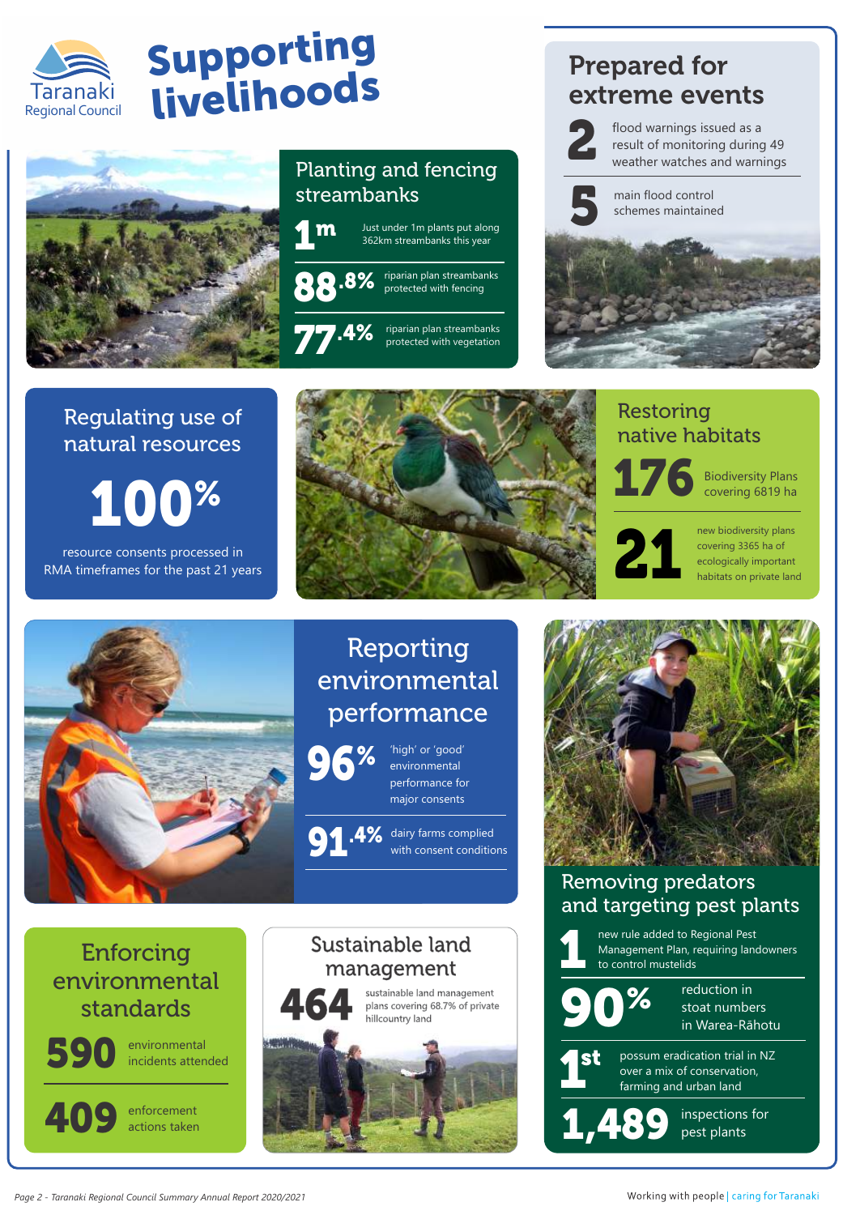

# Supporting Taranaki livelihoods



# Planting and fencing streambanks



# Prepared for extreme events



flood warnings issued as a result of monitoring during 49 weather watches and warnings



main flood control schemes maintained



# Regulating use of natural resources

resource consents processed in RMA timeframes for the past 21 years



# Restoring native habitats



Biodiversity Plans covering 6819 ha



new biodiversity plans covering 3365 ha of ecologically important habitats on private land



# Reporting environmental performance



'high' or 'good' environmental performance for major consents

### **91.4%** dairy farms complied with consent conditio with consent conditions

# Enforcing environmental standards



40

environmental incidents attended

enforcement actions taken





## Removing predators and targeting pest plants

new rule added to Regional Pest Management Plan, requiring landowners to control mustelids  $\overline{\mathbf{1}}$ 



reduction in stoat numbers in Warea-Rāhotu



possum eradication trial in NZ over a mix of conservation,<br>farming and urban land

inspections for<br>pest plants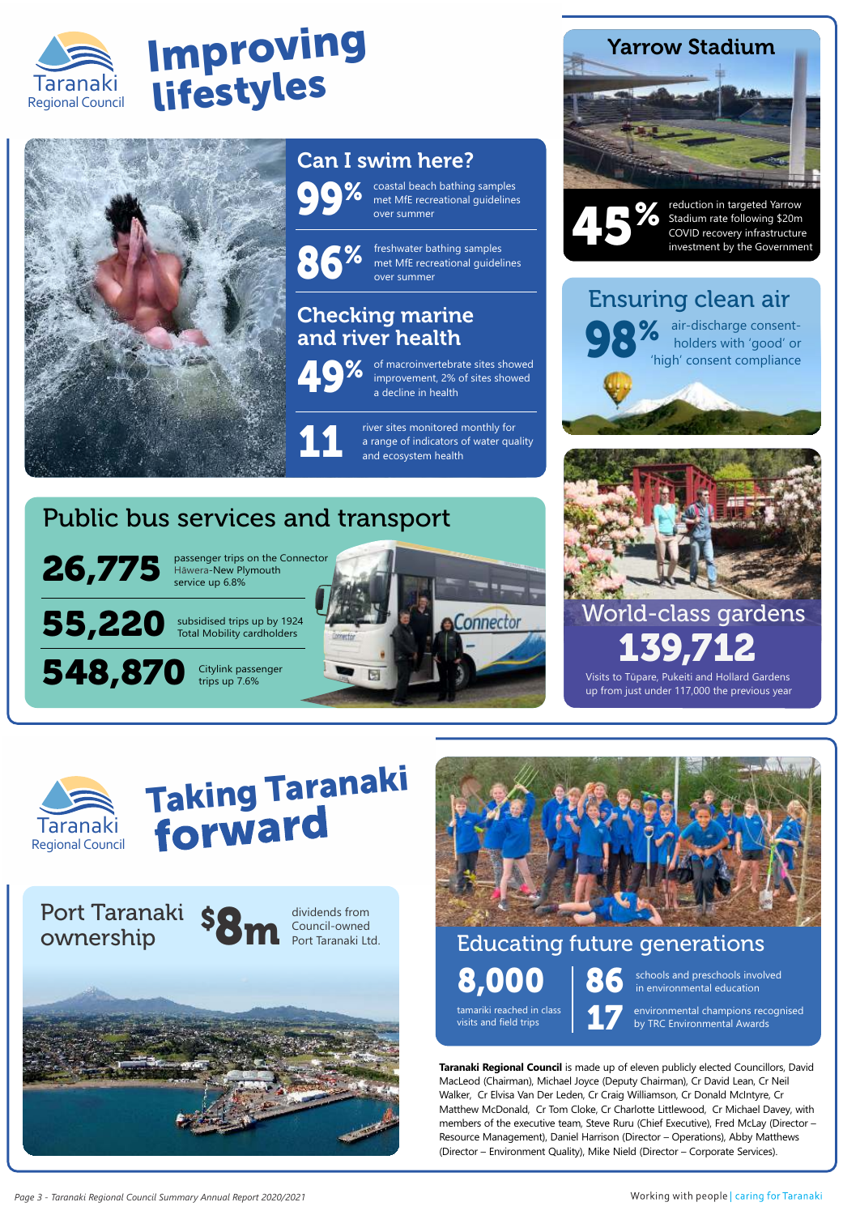

# Improving Taranaki lifestyles



# Can I swim here?

**99%** coastal beach bathing samples<br>
met MfE recreational guidelines<br>
over summer met MfE recreational guidelines over summer

% 86 freshwater bathing samples met MfE recreational guidelines over summer

# Checking marine and river health



of macroinvertebrate sites showed improvement, 2% of sites showed a decline in health

river sites monitored monthly for a range of indicators of water quality<br>and ecosystem health

# Public bus services and transport



548,870

Regional Council Taranaki

passenger trips on the Connector Hāwera-New Plymouth service up 6.8%

subsidised trips up by 1924 Total Mobility cardholders

> Citylink passenger trips up 7.6%







reduction in targeted Yarrow Stadium rate following \$20m COVID recovery infrastructure<br>investment by the Government

# Ensuring clean air



**98%** air-discharge consent-<br>holders with 'good' or<br>'high' consent compliance holders with 'good' or 'high' consent compliance



Visits to Tūpare, Pukeiti and Hollard Gardens up from just under 117,000 the previous year

139,712

# Taking Taranaki





# Educating future generations 8,000 in environmental education

tamariki reached in class visits and field trips

schools and preschools involved

environmental champions recognised by TRC Environmental Awards

**Taranaki Regional Council** is made up of eleven publicly elected Councillors, David MacLeod (Chairman), Michael Joyce (Deputy Chairman), Cr David Lean, Cr Neil Walker, Cr Elvisa Van Der Leden, Cr Craig Williamson, Cr Donald McIntyre, Cr Matthew McDonald, Cr Tom Cloke, Cr Charlotte Littlewood, Cr Michael Davey, with members of the executive team, Steve Ruru (Chief Executive), Fred McLay (Director – Resource Management), Daniel Harrison (Director – Operations), Abby Matthews (Director – Environment Quality), Mike Nield (Director – Corporate Services).